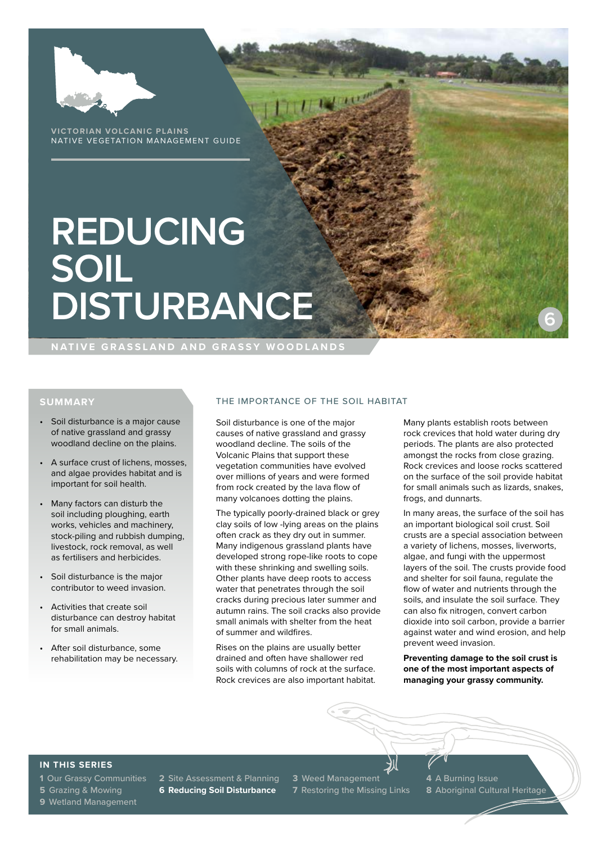

**VICTORIAN VOLCANIC PLAINS** NATIVE VEGETATION MANAGEMENT GUIDE

# **REDUCING SOIL DISTURBANCE**

**NATIVE GRASSLAND AND GRASSY WOODLANDS**

# **SUMMARY**

- Soil disturbance is a major cause of native grassland and grassy woodland decline on the plains.
- A surface crust of lichens, mosses, and algae provides habitat and is important for soil health.
- Many factors can disturb the soil including ploughing, earth works, vehicles and machinery, stock-piling and rubbish dumping, livestock, rock removal, as well as fertilisers and herbicides.
- Soil disturbance is the major contributor to weed invasion.
- Activities that create soil disturbance can destroy habitat for small animals.
- After soil disturbance, some rehabilitation may be necessary.

#### THE IMPORTANCE OF THE SOIL HABITAT

Soil disturbance is one of the major causes of native grassland and grassy woodland decline. The soils of the Volcanic Plains that support these vegetation communities have evolved over millions of years and were formed from rock created by the lava flow of many volcanoes dotting the plains.

The typically poorly-drained black or grey clay soils of low -lying areas on the plains often crack as they dry out in summer. Many indigenous grassland plants have developed strong rope-like roots to cope with these shrinking and swelling soils. Other plants have deep roots to access water that penetrates through the soil cracks during precious later summer and autumn rains. The soil cracks also provide small animals with shelter from the heat of summer and wildfires.

Rises on the plains are usually better drained and often have shallower red soils with columns of rock at the surface. Rock crevices are also important habitat. Many plants establish roots between rock crevices that hold water during dry periods. The plants are also protected amongst the rocks from close grazing. Rock crevices and loose rocks scattered on the surface of the soil provide habitat for small animals such as lizards, snakes, frogs, and dunnarts.

**6**

In many areas, the surface of the soil has an important biological soil crust. Soil crusts are a special association between a variety of lichens, mosses, liverworts, algae, and fungi with the uppermost layers of the soil. The crusts provide food and shelter for soil fauna, regulate the flow of water and nutrients through the soils, and insulate the soil surface. They can also fix nitrogen, convert carbon dioxide into soil carbon, provide a barrier against water and wind erosion, and help prevent weed invasion.

**Preventing damage to the soil crust is one of the most important aspects of managing your grassy community.**

# **IN THIS SERIES**

**9** Wetland Management

**5** Grazing & Mowing **6 Reducing Soil Disturbance 7** Restoring the Missing Links **8** Aboriginal Cultural Heritage

**1** Our Grassy Communities **2** Site Assessment & Planning **3** Weed Management **4** A Burning Issue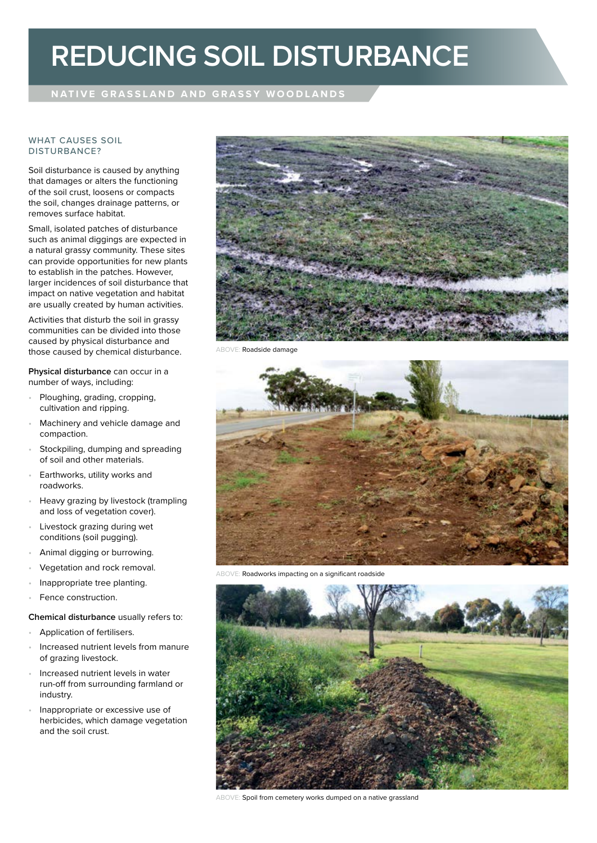# **REDUCING SOIL DISTURBANCE**

# **NATIVE GRASSLAND AND GRASSY WOODLANDS**

### WHAT CAUSES SOIL DISTURBANCE?

Soil disturbance is caused by anything that damages or alters the functioning of the soil crust, loosens or compacts the soil, changes drainage patterns, or removes surface habitat.

Small, isolated patches of disturbance such as animal diggings are expected in a natural grassy community. These sites can provide opportunities for new plants to establish in the patches. However, larger incidences of soil disturbance that impact on native vegetation and habitat are usually created by human activities.

Activities that disturb the soil in grassy communities can be divided into those caused by physical disturbance and those caused by chemical disturbance.

**Physical disturbance** can occur in a number of ways, including:

- Ploughing, grading, cropping, cultivation and ripping.
- Machinery and vehicle damage and compaction.
- Stockpiling, dumping and spreading of soil and other materials.
- Earthworks, utility works and roadworks.
- Heavy grazing by livestock (trampling and loss of vegetation cover).
- Livestock grazing during wet conditions (soil pugging).
- Animal digging or burrowing.
- Vegetation and rock removal.
- Inappropriate tree planting.
- Fence construction.

# **Chemical disturbance** usually refers to:

- Application of fertilisers.
- Increased nutrient levels from manure of grazing livestock.
- Increased nutrient levels in water run-off from surrounding farmland or industry.
- Inappropriate or excessive use of herbicides, which damage vegetation and the soil crust.



ABOVE: Roadside damage



Roadworks impacting on a significant roadside



ABOVE: Spoil from cemetery works dumped on a native grassland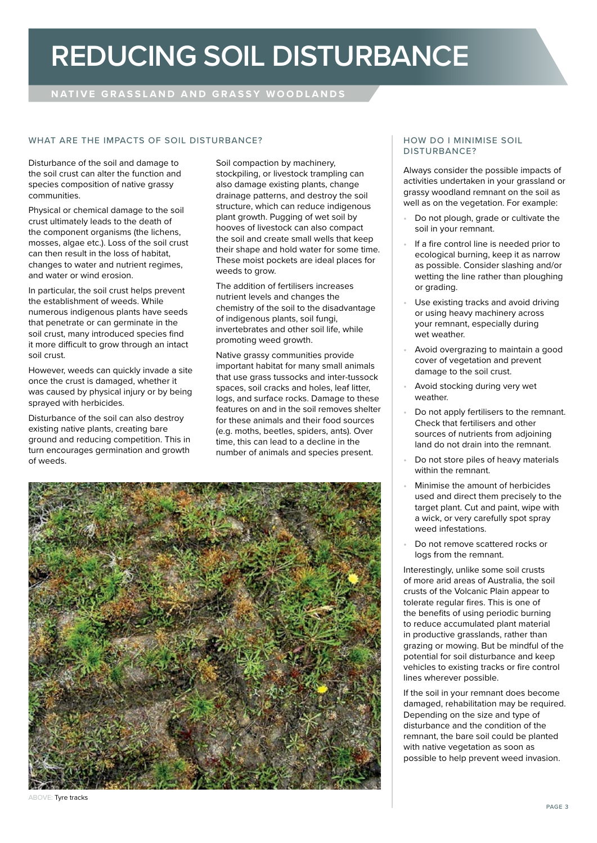# **REDUCING SOIL DISTURBANCE**

# **NATIVE GRASSLAND AND GRASSY WOODLANDS**

## WHAT ARE THE IMPACTS OF SOIL DISTURBANCE? HOW DO I MINIMISE SOIL

Disturbance of the soil and damage to the soil crust can alter the function and species composition of native grassy communities.

Physical or chemical damage to the soil crust ultimately leads to the death of the component organisms (the lichens, mosses, algae etc.). Loss of the soil crust can then result in the loss of habitat, changes to water and nutrient regimes, and water or wind erosion.

In particular, the soil crust helps prevent the establishment of weeds. While numerous indigenous plants have seeds that penetrate or can germinate in the soil crust, many introduced species find it more difficult to grow through an intact soil crust.

However, weeds can quickly invade a site once the crust is damaged, whether it was caused by physical injury or by being sprayed with herbicides.

Disturbance of the soil can also destroy existing native plants, creating bare ground and reducing competition. This in turn encourages germination and growth of weeds.

Soil compaction by machinery, stockpiling, or livestock trampling can also damage existing plants, change drainage patterns, and destroy the soil structure, which can reduce indigenous plant growth. Pugging of wet soil by hooves of livestock can also compact the soil and create small wells that keep their shape and hold water for some time. These moist pockets are ideal places for weeds to grow.

The addition of fertilisers increases nutrient levels and changes the chemistry of the soil to the disadvantage of indigenous plants, soil fungi, invertebrates and other soil life, while promoting weed growth.

Native grassy communities provide important habitat for many small animals that use grass tussocks and inter-tussock spaces, soil cracks and holes, leaf litter, logs, and surface rocks. Damage to these features on and in the soil removes shelter for these animals and their food sources (e.g. moths, beetles, spiders, ants). Over time, this can lead to a decline in the number of animals and species present.



#### ABOVE: Tyre tracks

# DISTURBANCE?

Always consider the possible impacts of activities undertaken in your grassland or grassy woodland remnant on the soil as well as on the vegetation. For example:

- Do not plough, grade or cultivate the soil in your remnant.
- If a fire control line is needed prior to ecological burning, keep it as narrow as possible. Consider slashing and/or wetting the line rather than ploughing or grading.
- Use existing tracks and avoid driving or using heavy machinery across your remnant, especially during wet weather.
- Avoid overgrazing to maintain a good cover of vegetation and prevent damage to the soil crust.
- Avoid stocking during very wet weather.
- Do not apply fertilisers to the remnant. Check that fertilisers and other sources of nutrients from adjoining land do not drain into the remnant.
- Do not store piles of heavy materials within the remnant.
- Minimise the amount of herbicides used and direct them precisely to the target plant. Cut and paint, wipe with a wick, or very carefully spot spray weed infestations.
- Do not remove scattered rocks or logs from the remnant.

Interestingly, unlike some soil crusts of more arid areas of Australia, the soil crusts of the Volcanic Plain appear to tolerate regular fires. This is one of the benefits of using periodic burning to reduce accumulated plant material in productive grasslands, rather than grazing or mowing. But be mindful of the potential for soil disturbance and keep vehicles to existing tracks or fire control lines wherever possible.

If the soil in your remnant does become damaged, rehabilitation may be required. Depending on the size and type of disturbance and the condition of the remnant, the bare soil could be planted with native vegetation as soon as possible to help prevent weed invasion.